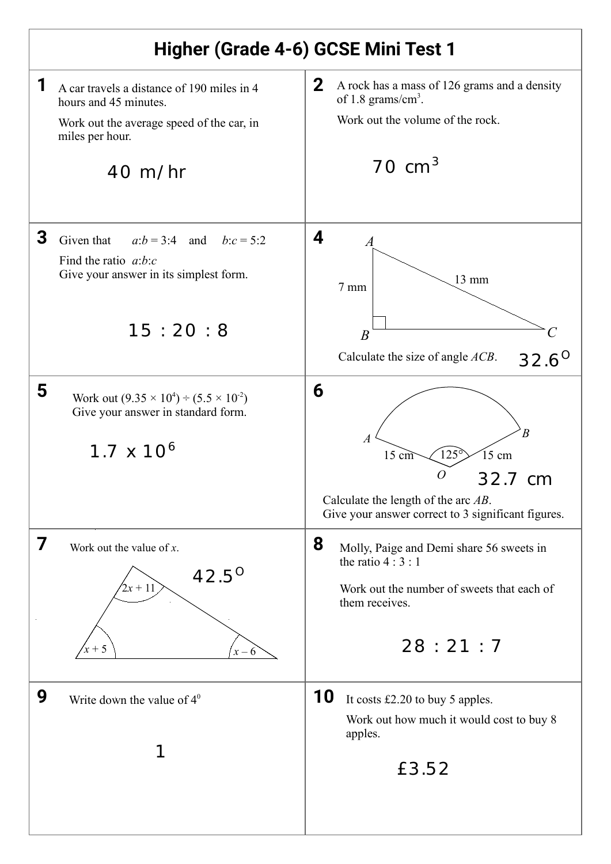